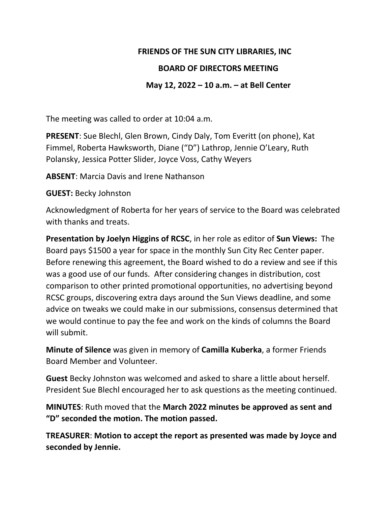#### **FRIENDS OF THE SUN CITY LIBRARIES, INC**

## **BOARD OF DIRECTORS MEETING**

## **May 12, 2022 – 10 a.m. – at Bell Center**

The meeting was called to order at 10:04 a.m.

**PRESENT**: Sue Blechl, Glen Brown, Cindy Daly, Tom Everitt (on phone), Kat Fimmel, Roberta Hawksworth, Diane ("D") Lathrop, Jennie O'Leary, Ruth Polansky, Jessica Potter Slider, Joyce Voss, Cathy Weyers

**ABSENT**: Marcia Davis and Irene Nathanson

**GUEST:** Becky Johnston

Acknowledgment of Roberta for her years of service to the Board was celebrated with thanks and treats.

**Presentation by Joelyn Higgins of RCSC**, in her role as editor of **Sun Views:** The Board pays \$1500 a year for space in the monthly Sun City Rec Center paper. Before renewing this agreement, the Board wished to do a review and see if this was a good use of our funds.After considering changes in distribution, cost comparison to other printed promotional opportunities, no advertising beyond RCSC groups, discovering extra days around the Sun Views deadline, and some advice on tweaks we could make in our submissions, consensus determined that we would continue to pay the fee and work on the kinds of columns the Board will submit.

**Minute of Silence** was given in memory of **Camilla Kuberka**, a former Friends Board Member and Volunteer.

**Guest** Becky Johnston was welcomed and asked to share a little about herself. President Sue Blechl encouraged her to ask questions as the meeting continued.

**MINUTES**: Ruth moved that the **March 2022 minutes be approved as sent and "D" seconded the motion. The motion passed.**

**TREASURER**: **Motion to accept the report as presented was made by Joyce and seconded by Jennie.**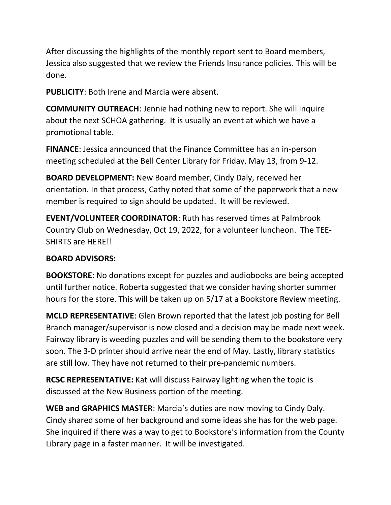After discussing the highlights of the monthly report sent to Board members, Jessica also suggested that we review the Friends Insurance policies. This will be done.

**PUBLICITY**: Both Irene and Marcia were absent.

**COMMUNITY OUTREACH**: Jennie had nothing new to report. She will inquire about the next SCHOA gathering. It is usually an event at which we have a promotional table.

**FINANCE**: Jessica announced that the Finance Committee has an in-person meeting scheduled at the Bell Center Library for Friday, May 13, from 9-12.

**BOARD DEVELOPMENT:** New Board member, Cindy Daly, received her orientation. In that process, Cathy noted that some of the paperwork that a new member is required to sign should be updated. It will be reviewed.

**EVENT/VOLUNTEER COORDINATOR**: Ruth has reserved times at Palmbrook Country Club on Wednesday, Oct 19, 2022, for a volunteer luncheon. The TEE-SHIRTS are HERE!!

# **BOARD ADVISORS:**

**BOOKSTORE**: No donations except for puzzles and audiobooks are being accepted until further notice. Roberta suggested that we consider having shorter summer hours for the store. This will be taken up on 5/17 at a Bookstore Review meeting.

**MCLD REPRESENTATIVE**: Glen Brown reported that the latest job posting for Bell Branch manager/supervisor is now closed and a decision may be made next week. Fairway library is weeding puzzles and will be sending them to the bookstore very soon. The 3-D printer should arrive near the end of May. Lastly, library statistics are still low. They have not returned to their pre-pandemic numbers.

**RCSC REPRESENTATIVE:** Kat will discuss Fairway lighting when the topic is discussed at the New Business portion of the meeting.

**WEB and GRAPHICS MASTER**: Marcia's duties are now moving to Cindy Daly. Cindy shared some of her background and some ideas she has for the web page. She inquired if there was a way to get to Bookstore's information from the County Library page in a faster manner. It will be investigated.